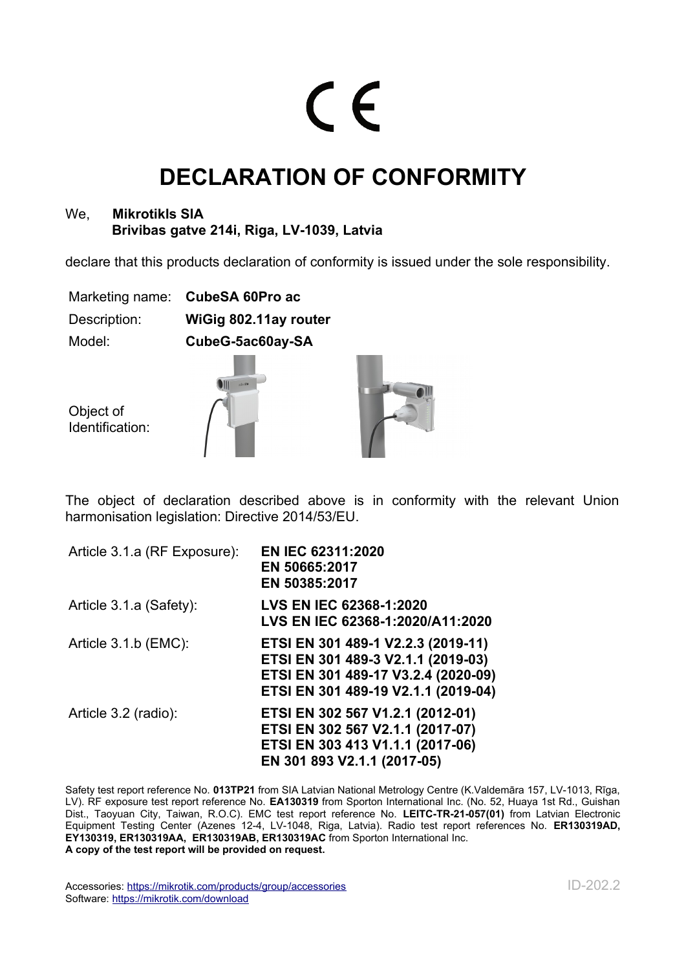## $\epsilon$

## **DECLARATION OF CONFORMITY**

## We, **Mikrotikls SIA Brivibas gatve 214i, Riga, LV-1039, Latvia**

declare that this products declaration of conformity is issued under the sole responsibility.

|              | Marketing name: CubeSA 60Pro ac |
|--------------|---------------------------------|
| Description: | WiGig 802.11ay router           |
| Model:       | CubeG-5ac60ay-SA                |
|              |                                 |

Object of Identification:





The object of declaration described above is in conformity with the relevant Union harmonisation legislation: Directive 2014/53/EU.

| Article 3.1.a (RF Exposure): | <b>EN IEC 62311:2020</b><br>EN 50665:2017<br>EN 50385:2017                                                                                             |
|------------------------------|--------------------------------------------------------------------------------------------------------------------------------------------------------|
| Article 3.1.a (Safety):      | LVS EN IEC 62368-1:2020<br>LVS EN IEC 62368-1:2020/A11:2020                                                                                            |
| Article 3.1.b (EMC):         | ETSI EN 301 489-1 V2.2.3 (2019-11)<br>ETSI EN 301 489-3 V2.1.1 (2019-03)<br>ETSI EN 301 489-17 V3.2.4 (2020-09)<br>ETSI EN 301 489-19 V2.1.1 (2019-04) |
| Article 3.2 (radio):         | ETSI EN 302 567 V1.2.1 (2012-01)<br>ETSI EN 302 567 V2.1.1 (2017-07)<br>ETSI EN 303 413 V1.1.1 (2017-06)<br>EN 301 893 V2.1.1 (2017-05)                |

Safety test report reference No. **013TP21** from SIA Latvian National Metrology Centre (K.Valdemāra 157, LV-1013, Rīga, LV). RF exposure test report reference No. **EA130319** from Sporton International Inc. (No. 52, Huaya 1st Rd., Guishan Dist., Taoyuan City, Taiwan, R.O.C). EMC test report reference No. **LEITC-TR-21-057(01)** from Latvian Electronic Equipment Testing Center (Azenes 12-4, LV-1048, Riga, Latvia). Radio test report references No. **ER130319AD, EY130319, ER130319AA, ER130319AB, ER130319AC** from Sporton International Inc. **A copy of the test report will be provided on request.**